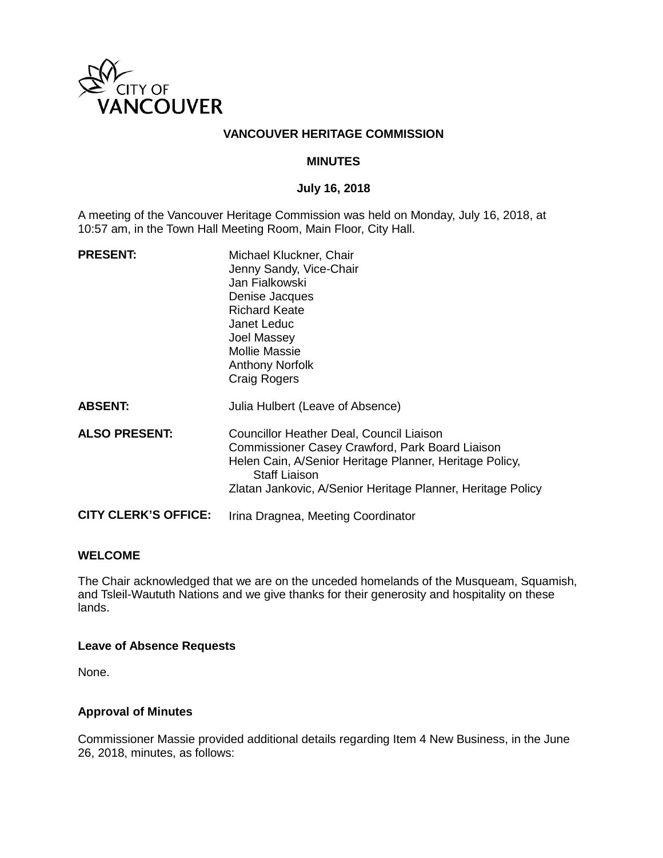

## **VANCOUVER HERITAGE COMMISSION**

## **MINUTES**

## **July 16, 2018**

A meeting of the Vancouver Heritage Commission was held on Monday, July 16, 2018, at 10:57 am, in the Town Hall Meeting Room, Main Floor, City Hall.

| <b>PRESENT:</b>             | Michael Kluckner, Chair<br>Jenny Sandy, Vice-Chair<br>Jan Fialkowski<br>Denise Jacques<br><b>Richard Keate</b><br>Janet Leduc<br>Joel Massey<br><b>Mollie Massie</b><br><b>Anthony Norfolk</b><br>Craig Rogers                                |
|-----------------------------|-----------------------------------------------------------------------------------------------------------------------------------------------------------------------------------------------------------------------------------------------|
| <b>ABSENT:</b>              | Julia Hulbert (Leave of Absence)                                                                                                                                                                                                              |
| <b>ALSO PRESENT:</b>        | Councillor Heather Deal, Council Liaison<br>Commissioner Casey Crawford, Park Board Liaison<br>Helen Cain, A/Senior Heritage Planner, Heritage Policy,<br><b>Staff Liaison</b><br>Zlatan Jankovic, A/Senior Heritage Planner, Heritage Policy |
| <b>CITY CLERK'S OFFICE:</b> | Irina Dragnea, Meeting Coordinator                                                                                                                                                                                                            |

## **WELCOME**

The Chair acknowledged that we are on the unceded homelands of the Musqueam, Squamish, and Tsleil-Waututh Nations and we give thanks for their generosity and hospitality on these lands.

## **Leave of Absence Requests**

None.

## **Approval of Minutes**

Commissioner Massie provided additional details regarding Item 4 New Business, in the June 26, 2018, minutes, as follows: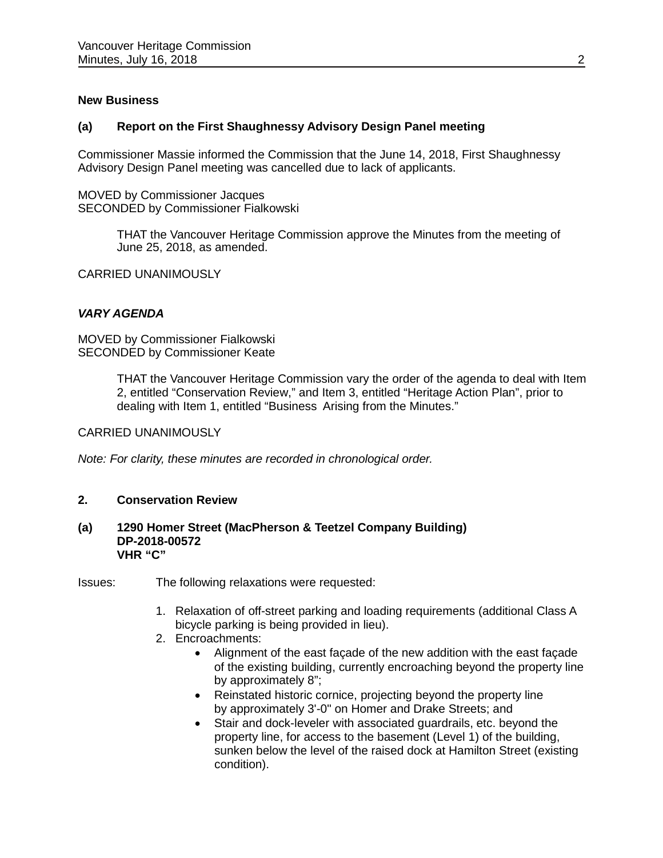## **New Business**

#### **(a) Report on the First Shaughnessy Advisory Design Panel meeting**

Commissioner Massie informed the Commission that the June 14, 2018, First Shaughnessy Advisory Design Panel meeting was cancelled due to lack of applicants.

MOVED by Commissioner Jacques SECONDED by Commissioner Fialkowski

> THAT the Vancouver Heritage Commission approve the Minutes from the meeting of June 25, 2018, as amended.

CARRIED UNANIMOUSLY

#### *VARY AGENDA*

MOVED by Commissioner Fialkowski SECONDED by Commissioner Keate

> THAT the Vancouver Heritage Commission vary the order of the agenda to deal with Item 2, entitled "Conservation Review," and Item 3, entitled "Heritage Action Plan", prior to dealing with Item 1, entitled "Business Arising from the Minutes."

#### CARRIED UNANIMOUSLY

*Note: For clarity, these minutes are recorded in chronological order.*

#### **2. Conservation Review**

#### **(a) 1290 Homer Street (MacPherson & Teetzel Company Building) DP-2018-00572 VHR "C"**

Issues: The following relaxations were requested:

- 1. Relaxation of off-street parking and loading requirements (additional Class A bicycle parking is being provided in lieu).
- 2. Encroachments:
	- Alignment of the east façade of the new addition with the east façade of the existing building, currently encroaching beyond the property line by approximately 8";
	- Reinstated historic cornice, projecting beyond the property line by approximately 3'-0" on Homer and Drake Streets; and
	- Stair and dock-leveler with associated guardrails, etc. beyond the property line, for access to the basement (Level 1) of the building, sunken below the level of the raised dock at Hamilton Street (existing condition).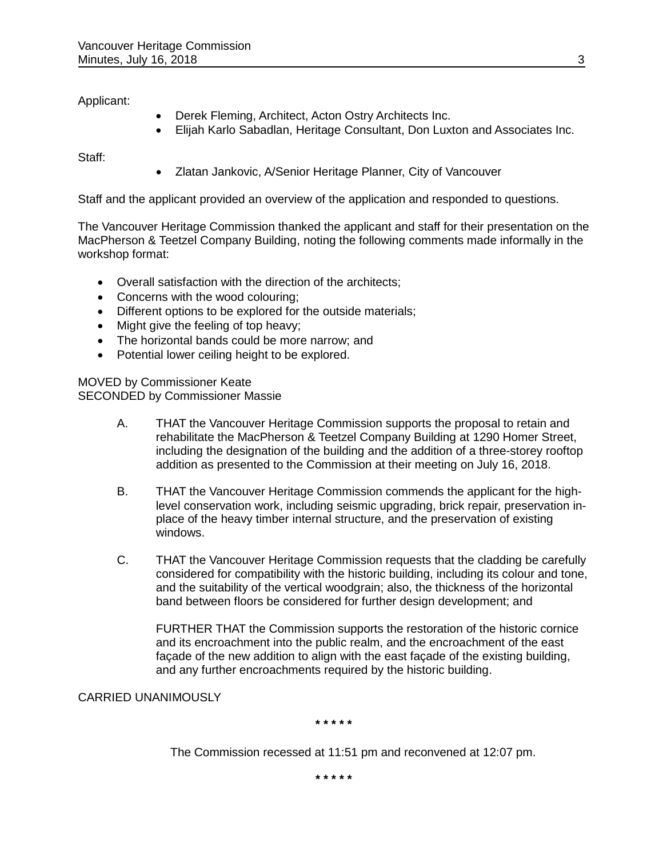Applicant:

- Derek Fleming, Architect, Acton Ostry Architects Inc.
- Elijah Karlo Sabadlan, Heritage Consultant, Don Luxton and Associates Inc.

Staff:

• Zlatan Jankovic, A/Senior Heritage Planner, City of Vancouver

Staff and the applicant provided an overview of the application and responded to questions.

The Vancouver Heritage Commission thanked the applicant and staff for their presentation on the MacPherson & Teetzel Company Building, noting the following comments made informally in the workshop format:

- Overall satisfaction with the direction of the architects;
- Concerns with the wood colouring;
- Different options to be explored for the outside materials;
- Might give the feeling of top heavy;
- The horizontal bands could be more narrow; and
- Potential lower ceiling height to be explored.

MOVED by Commissioner Keate SECONDED by Commissioner Massie

- A. THAT the Vancouver Heritage Commission supports the proposal to retain and rehabilitate the MacPherson & Teetzel Company Building at 1290 Homer Street, including the designation of the building and the addition of a three-storey rooftop addition as presented to the Commission at their meeting on July 16, 2018.
- B. THAT the Vancouver Heritage Commission commends the applicant for the highlevel conservation work, including seismic upgrading, brick repair, preservation inplace of the heavy timber internal structure, and the preservation of existing windows.
- C. THAT the Vancouver Heritage Commission requests that the cladding be carefully considered for compatibility with the historic building, including its colour and tone, and the suitability of the vertical woodgrain; also, the thickness of the horizontal band between floors be considered for further design development; and

FURTHER THAT the Commission supports the restoration of the historic cornice and its encroachment into the public realm, and the encroachment of the east façade of the new addition to align with the east façade of the existing building, and any further encroachments required by the historic building.

## CARRIED UNANIMOUSLY

**\* \* \* \* \***

The Commission recessed at 11:51 pm and reconvened at 12:07 pm.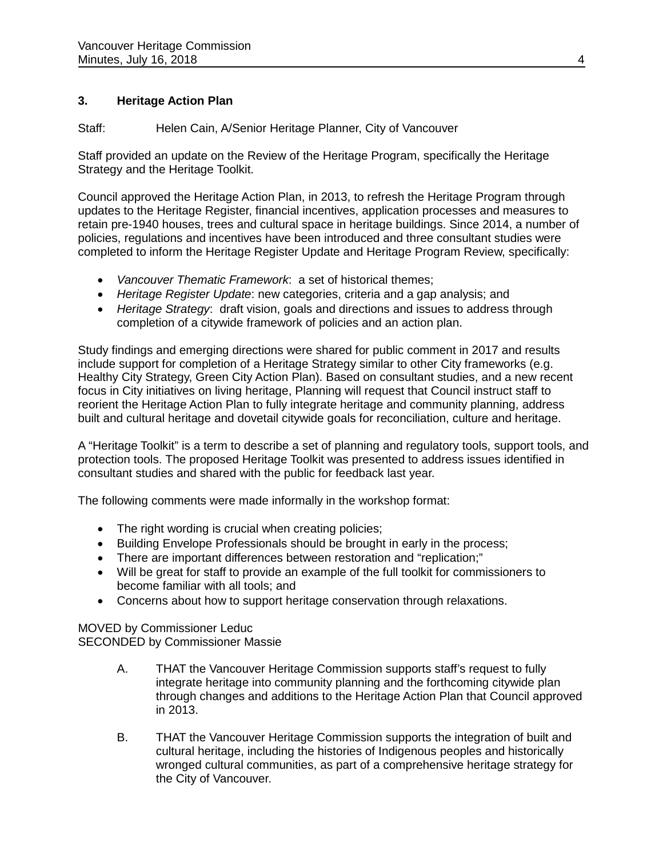## **3. Heritage Action Plan**

Staff: Helen Cain, A/Senior Heritage Planner, City of Vancouver

Staff provided an update on the Review of the Heritage Program, specifically the Heritage Strategy and the Heritage Toolkit.

Council approved the Heritage Action Plan, in 2013, to refresh the Heritage Program through updates to the Heritage Register, financial incentives, application processes and measures to retain pre-1940 houses, trees and cultural space in heritage buildings. Since 2014, a number of policies, regulations and incentives have been introduced and three consultant studies were completed to inform the Heritage Register Update and Heritage Program Review, specifically:

- *Vancouver Thematic Framework*: a set of historical themes;
- *Heritage Register Update*: new categories, criteria and a gap analysis; and
- *Heritage Strategy*: draft vision, goals and directions and issues to address through completion of a citywide framework of policies and an action plan.

Study findings and emerging directions were shared for public comment in 2017 and results include support for completion of a Heritage Strategy similar to other City frameworks (e.g. Healthy City Strategy, Green City Action Plan). Based on consultant studies, and a new recent focus in City initiatives on living heritage, Planning will request that Council instruct staff to reorient the Heritage Action Plan to fully integrate heritage and community planning, address built and cultural heritage and dovetail citywide goals for reconciliation, culture and heritage.

A "Heritage Toolkit" is a term to describe a set of planning and regulatory tools, support tools, and protection tools. The proposed Heritage Toolkit was presented to address issues identified in consultant studies and shared with the public for feedback last year.

The following comments were made informally in the workshop format:

- The right wording is crucial when creating policies;
- Building Envelope Professionals should be brought in early in the process;
- There are important differences between restoration and "replication;"
- Will be great for staff to provide an example of the full toolkit for commissioners to become familiar with all tools; and
- Concerns about how to support heritage conservation through relaxations.

MOVED by Commissioner Leduc SECONDED by Commissioner Massie

- A. THAT the Vancouver Heritage Commission supports staff's request to fully integrate heritage into community planning and the forthcoming citywide plan through changes and additions to the Heritage Action Plan that Council approved in 2013.
- B. THAT the Vancouver Heritage Commission supports the integration of built and cultural heritage, including the histories of Indigenous peoples and historically wronged cultural communities, as part of a comprehensive heritage strategy for the City of Vancouver.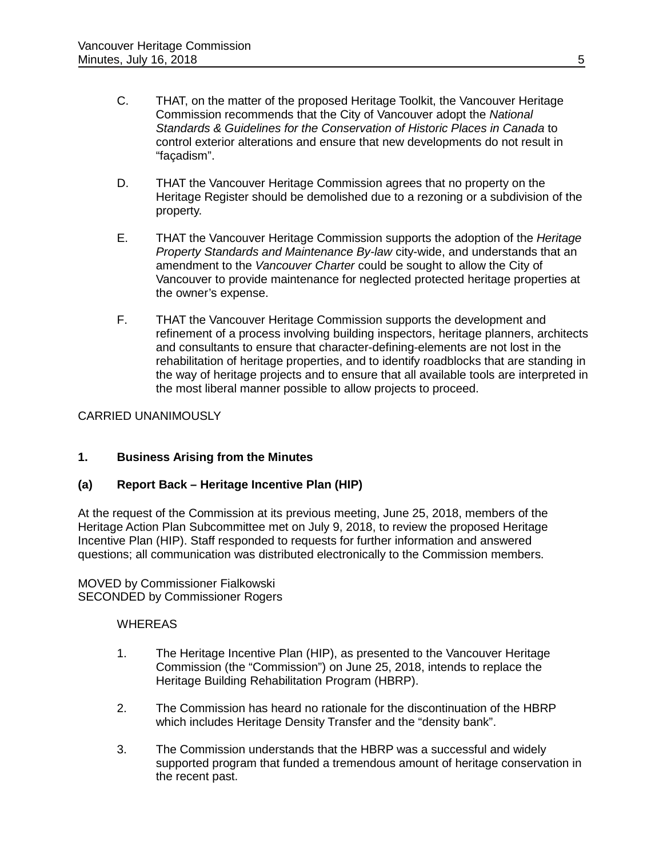- C. THAT, on the matter of the proposed Heritage Toolkit, the Vancouver Heritage Commission recommends that the City of Vancouver adopt the *National Standards & Guidelines for the Conservation of Historic Places in Canada* to control exterior alterations and ensure that new developments do not result in "façadism".
- D. THAT the Vancouver Heritage Commission agrees that no property on the Heritage Register should be demolished due to a rezoning or a subdivision of the property.
- E. THAT the Vancouver Heritage Commission supports the adoption of the *Heritage Property Standards and Maintenance By-law* city-wide, and understands that an amendment to the *Vancouver Charter* could be sought to allow the City of Vancouver to provide maintenance for neglected protected heritage properties at the owner's expense.
- F. THAT the Vancouver Heritage Commission supports the development and refinement of a process involving building inspectors, heritage planners, architects and consultants to ensure that character-defining-elements are not lost in the rehabilitation of heritage properties, and to identify roadblocks that are standing in the way of heritage projects and to ensure that all available tools are interpreted in the most liberal manner possible to allow projects to proceed.

## CARRIED UNANIMOUSLY

## **1. Business Arising from the Minutes**

## **(a) Report Back – Heritage Incentive Plan (HIP)**

At the request of the Commission at its previous meeting, June 25, 2018, members of the Heritage Action Plan Subcommittee met on July 9, 2018, to review the proposed Heritage Incentive Plan (HIP). Staff responded to requests for further information and answered questions; all communication was distributed electronically to the Commission members.

MOVED by Commissioner Fialkowski SECONDED by Commissioner Rogers

## WHEREAS

- 1. The Heritage Incentive Plan (HIP), as presented to the Vancouver Heritage Commission (the "Commission") on June 25, 2018, intends to replace the Heritage Building Rehabilitation Program (HBRP).
- 2. The Commission has heard no rationale for the discontinuation of the HBRP which includes Heritage Density Transfer and the "density bank".
- 3. The Commission understands that the HBRP was a successful and widely supported program that funded a tremendous amount of heritage conservation in the recent past.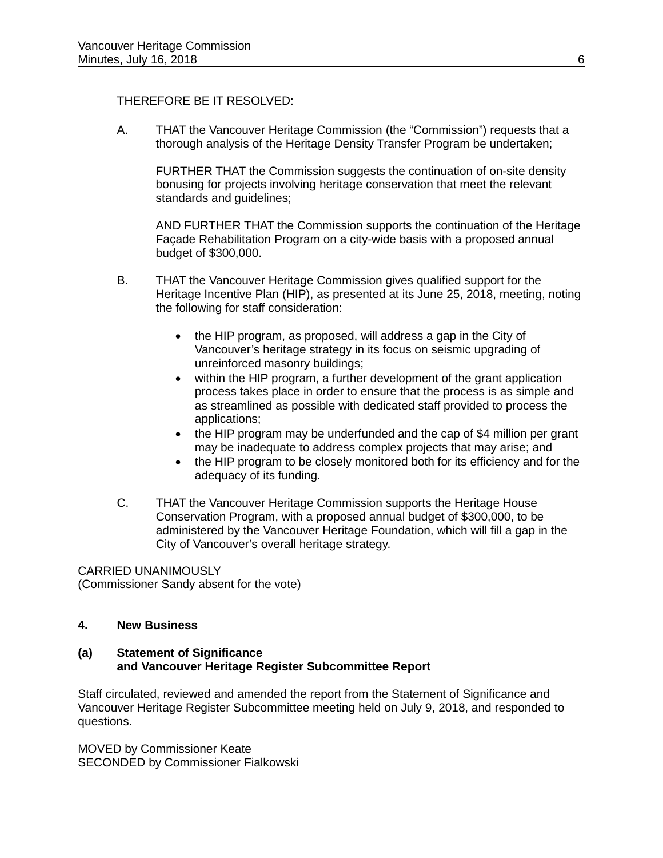## THEREFORE BE IT RESOLVED:

A. THAT the Vancouver Heritage Commission (the "Commission") requests that a thorough analysis of the Heritage Density Transfer Program be undertaken;

FURTHER THAT the Commission suggests the continuation of on-site density bonusing for projects involving heritage conservation that meet the relevant standards and guidelines;

AND FURTHER THAT the Commission supports the continuation of the Heritage Façade Rehabilitation Program on a city-wide basis with a proposed annual budget of \$300,000.

- B. THAT the Vancouver Heritage Commission gives qualified support for the Heritage Incentive Plan (HIP), as presented at its June 25, 2018, meeting, noting the following for staff consideration:
	- the HIP program, as proposed, will address a gap in the City of Vancouver's heritage strategy in its focus on seismic upgrading of unreinforced masonry buildings;
	- within the HIP program, a further development of the grant application process takes place in order to ensure that the process is as simple and as streamlined as possible with dedicated staff provided to process the applications;
	- the HIP program may be underfunded and the cap of \$4 million per grant may be inadequate to address complex projects that may arise; and
	- the HIP program to be closely monitored both for its efficiency and for the adequacy of its funding.
- C. THAT the Vancouver Heritage Commission supports the Heritage House Conservation Program, with a proposed annual budget of \$300,000, to be administered by the Vancouver Heritage Foundation, which will fill a gap in the City of Vancouver's overall heritage strategy.

CARRIED UNANIMOUSLY (Commissioner Sandy absent for the vote)

## **4. New Business**

## **(a) Statement of Significance and Vancouver Heritage Register Subcommittee Report**

Staff circulated, reviewed and amended the report from the Statement of Significance and Vancouver Heritage Register Subcommittee meeting held on July 9, 2018, and responded to questions.

MOVED by Commissioner Keate SECONDED by Commissioner Fialkowski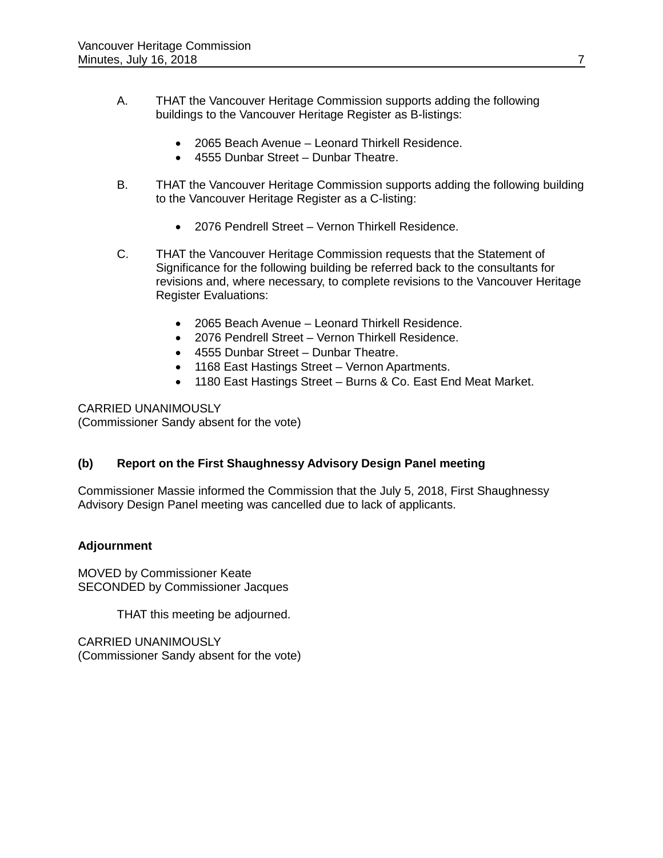- A. THAT the Vancouver Heritage Commission supports adding the following buildings to the Vancouver Heritage Register as B-listings:
	- 2065 Beach Avenue Leonard Thirkell Residence.
	- 4555 Dunbar Street Dunbar Theatre.
- B. THAT the Vancouver Heritage Commission supports adding the following building to the Vancouver Heritage Register as a C-listing:
	- 2076 Pendrell Street Vernon Thirkell Residence.
- C. THAT the Vancouver Heritage Commission requests that the Statement of Significance for the following building be referred back to the consultants for revisions and, where necessary, to complete revisions to the Vancouver Heritage Register Evaluations:
	- 2065 Beach Avenue Leonard Thirkell Residence.
	- 2076 Pendrell Street Vernon Thirkell Residence.
	- 4555 Dunbar Street Dunbar Theatre.
	- 1168 East Hastings Street Vernon Apartments.
	- 1180 East Hastings Street Burns & Co. East End Meat Market.

CARRIED UNANIMOUSLY (Commissioner Sandy absent for the vote)

## **(b) Report on the First Shaughnessy Advisory Design Panel meeting**

Commissioner Massie informed the Commission that the July 5, 2018, First Shaughnessy Advisory Design Panel meeting was cancelled due to lack of applicants.

## **Adjournment**

MOVED by Commissioner Keate SECONDED by Commissioner Jacques

THAT this meeting be adjourned.

CARRIED UNANIMOUSLY (Commissioner Sandy absent for the vote)